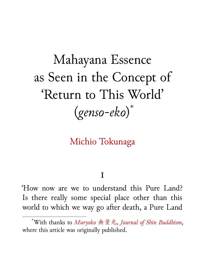Mahayana Essence as Seen in the Concept of 'Return to This World' (*genso-eko*) \*

# Michio Tokunaga

## **I**

'How now are we to understand this Pure Land? Is there really some special place other than this world to which we way go after death, a Pure Land

<sup>\*</sup>With thanks to *Muryoko* 無量光, *Journal of Shin Buddhism*, where this article was originally published.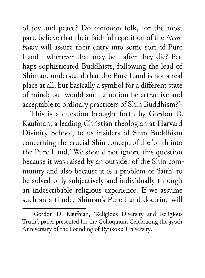of joy and peace? Do common folk, for the most part, believe that their faithful repetition of the *Nembutsu* will assure their entry into some sort of Pure Land—wherever that may be—after they die? Perhaps sophisticated Buddhists, following the lead of Shinran, understand that the Pure Land is not a real place at all, but basically a symbol for a different state of mind; but would such a notion be attractive and acceptable to ordinary practicers of Shin Buddhism?'<sup>1</sup>

This is a question brought forth by Gordon D. Kaufman, a leading Christian theologian at Harvard Divinity School, to us insiders of Shin Buddhism concerning the crucial Shin concept of the 'birth into the Pure Land.' We should not ignore this question because it was raised by an outsider of the Shin community and also because it is a problem of 'faith' to be solved only subjectively and individually through an indescribable religious experience. If we assume such an attitude, Shinran's Pure Land doctrine will

<sup>&</sup>lt;sup>1</sup>Gordon D. Kaufman, 'Religious Diversity and Religious Truth', paper presented for the Colloquium Celebrating the 350th Anniversary of the Founding of Ryukoku University.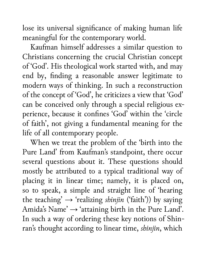lose its universal significance of making human life meaningful for the contemporary world.

Kaufman himself addresses a similar question to Christians concerning the crucial Christian concept of 'God'. His theological work started with, and may end by, finding a reasonable answer legitimate to modern ways of thinking. In such a reconstruction of the concept of 'God', he criticizes a view that 'God' can be conceived only through a special religious experience, because it confines 'God' within the 'circle of faith', not giving a fundamental meaning for the life of all contemporary people.

When we treat the problem of the 'birth into the Pure Land' from Kaufman's standpoint, there occur several questions about it. These questions should mostly be attributed to a typical traditional way of placing it in linear time; namely, it is placed on, so to speak, a simple and straight line of 'hearing the teaching'  $\rightarrow$  'realizing *shinjin* ('faith')) by saying Amida's Name' → 'attaining birth in the Pure Land'. In such a way of ordering these key notions of Shinran's thought according to linear time, *shinjin*, which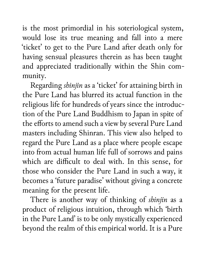is the most primordial in his soteriological system, would lose its true meaning and fall into a mere 'ticket' to get to the Pure Land after death only for having sensual pleasures therein as has been taught and appreciated traditionally within the Shin community.

Regarding *shinjin* as a 'ticket' for attaining birth in the Pure Land has blurred its actual function in the religious life for hundreds of years since the introduction of the Pure Land Buddhism to Japan in spite of the efforts to amend such a view by several Pure Land masters including Shinran. This view also helped to regard the Pure Land as a place where people escape into from actual human life full of sorrows and pains which are difficult to deal with. In this sense, for those who consider the Pure Land in such a way, it becomes a 'future paradise' without giving a concrete meaning for the present life.

There is another way of thinking of *shinjin* as a product of religious intuition, through which 'birth in the Pure Land' is to be only mystically experienced beyond the realm of this empirical world. It is a Pure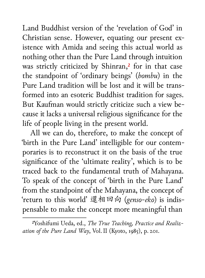Land Buddhist version of the 'revelation of God' in Christian sense. However, equating our present existence with Amida and seeing this actual world as nothing other than the Pure Land through intuition was strictly criticized by Shinran,<sup>2</sup> for in that case the standpoint of 'ordinary beings' (*bombu*) in the Pure Land tradition will be lost and it will be transformed into an esoteric Buddhist tradition for sages. But Kaufman would strictly criticize such a view because it lacks a universal religious significance for the life of people living in the present world.

All we can do, therefore, to make the concept of 'birth in the Pure Land' intelligible for our contemporaries is to reconstruct it on the basis of the true significance of the 'ultimate reality', which is to be traced back to the fundamental truth of Mahayana. To speak of the concept of 'birth in the Pure Land' from the standpoint of the Mahayana, the concept of 'return to this world' 還相回向 (*genso-eko*) is indispensable to make the concept more meaningful than

²Yoshifumi Ueda, ed., *The True Teaching, Practice and Realization of the Pure Land Way*, Vol. II (Kyoto, 1985), p. 201.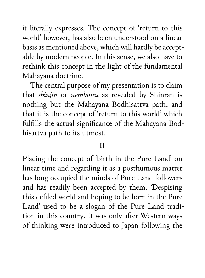it literally expresses. The concept of 'return to this world' however, has also been understood on a linear basis as mentioned above, which will hardly be acceptable by modern people. In this sense, we also have to rethink this concept in the light of the fundamental Mahayana doctrine.

The central purpose of my presentation is to claim that *shinjin* or *nembutsu* as revealed by Shinran is nothing but the Mahayana Bodhisattva path, and that it is the concept of 'return to this world' which fulfills the actual significance of the Mahayana Bodhisattva path to its utmost.

#### **II**

Placing the concept of 'birth in the Pure Land' on linear time and regarding it as a posthumous matter has long occupied the minds of Pure Land followers and has readily been accepted by them. 'Despising this defiled world and hoping to be born in the Pure Land' used to be a slogan of the Pure Land tradition in this country. It was only after Western ways of thinking were introduced to Japan following the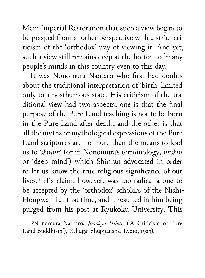Meiji Imperial Restoration that such a view began to be grasped from another perspective with a strict criticism of the 'orthodox' way of viewing it. And yet, such a view still remains deep at the bottom of many people's minds in this country even to this day.

It was Nonomura Naotaro who first had doubts about the traditional interpretation of 'birth' limited only to a posthumous state. His criticism of the traditional view had two aspects; one is that the final purpose of the Pure Land teaching is not to be born in the Pure Land after death, and the other is that all the myths or mythological expressions of the Pure Land scriptures are no more than the means to lead us to '*shinjin*' (or in Nonomura's terminology, *jinshin* or 'deep mind') which Shinran advocated in order to let us know the true religious significance of our lives.³ His claim, however, was too radical a one to be accepted by the 'orthodox' scholars of the Nishi-Hongwanji at that time, and it resulted in him being purged from his post at Ryukoku University. This

³Nonomura Naotaro, *Jodokyo Hihan* ('A Criticism of Pure Land Buddhism'), (Chugai Shuppansha, Kyoto, 1923).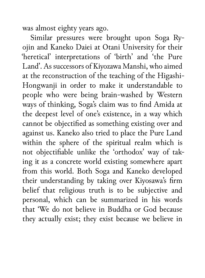was almost eighty years ago.

Similar pressures were brought upon Soga Ryojin and Kaneko Daiei at Otani University for their 'heretical' interpretations of 'birth' and 'the Pure Land'. As successors of Kiyozawa Manshi, who aimed at the reconstruction of the teaching of the Higashi-Hongwanji in order to make it understandable to people who were being brain-washed by Western ways of thinking, Soga's claim was to find Amida at the deepest level of one's existence, in a way which cannot be objectified as something existing over and against us. Kaneko also tried to place the Pure Land within the sphere of the spiritual realm which is not objectifiable unlike the 'orthodox' way of taking it as a concrete world existing somewhere apart from this world. Both Soga and Kaneko developed their understanding by taking over Kiyosawa's firm belief that religious truth is to be subjective and personal, which can be summarized in his words that 'We do not believe in Buddha or God because they actually exist; they exist because we believe in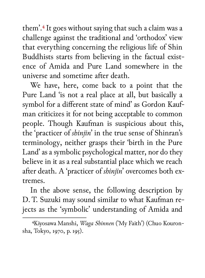them'.<sup>4</sup> It goes without saying that such a claim was a challenge against the traditional and 'orthodox' view that everything concerning the religious life of Shin Buddhists starts from believing in the factual existence of Amida and Pure Land somewhere in the universe and sometime after death.

We have, here, come back to a point that the Pure Land 'is not a real place at all, but basically a symbol for a different state of mind' as Gordon Kaufman criticizes it for not being acceptable to common people. Though Kaufman is suspicious about this, the 'practicer of *shinjin*' in the true sense of Shinran's terminology, neither grasps their 'birth in the Pure Land' as a symbolic psychological matter, nor do they believe in it as a real substantial place which we reach after death. A 'practicer of *shinjin*' overcomes both extremes.

In the above sense, the following description by D. T. Suzuki may sound similar to what Kaufman rejects as the 'symbolic' understanding of Amida and

⁴Kiyosawa Manshi, *Waga Shinnen* ('My Faith') (Chuo Kouronsha, Tokyo, 1970, p. 195).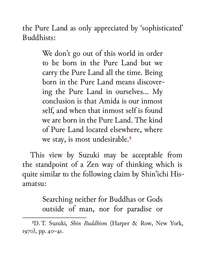the Pure Land as only appreciated by 'sophisticated' Buddhists:

> We don't go out of this world in order to be born in the Pure Land but we carry the Pure Land all the time. Being born in the Pure Land means discovering the Pure Land in ourselves… My conclusion is that Amida is our inmost self, and when that inmost self is found we are born in the Pure Land. The kind of Pure Land located elsewhere, where we stay, is most undesirable.<sup>5</sup>

This view by Suzuki may be acceptable from the standpoint of a Zen way of thinking which is quite similar to the following claim by Shin'ichi Hisamatsu:

> Searching neither for Buddhas or Gods outside of man, nor for paradise or

⁵D. T. Suzuki, *Shin Buddhism* (Harper & Row, New York, 1970), pp. 40-41.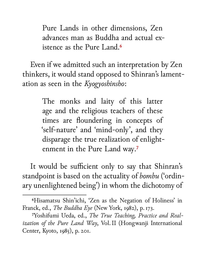Pure Lands in other dimensions, Zen advances man as Buddha and actual existence as the Pure Land.<sup>6</sup>

Even if we admitted such an interpretation by Zen thinkers, it would stand opposed to Shinran's lamentation as seen in the *Kyogyoshinsho*:

> The monks and laity of this latter age and the religious teachers of these times are floundering in concepts of 'self-nature' and 'mind-only', and they disparage the true realization of enlightenment in the Pure Land way.<sup>7</sup>

It would be sufficient only to say that Shinran's standpoint is based on the actuality of *bombu* ('ordinary unenlightened being') in whom the dichotomy of

⁶Hisamatsu Shin'ichi, 'Zen as the Negation of Holiness' in Franck, ed., *The Buddha Eye* (New York, 1982), p. 173.

⁷Yoshifumi Ueda, ed., *The True Teaching, Practice and Realization of the Pure Land Way*, Vol. II (Hongwanji International Center, Kyoto, 1985), p. 201.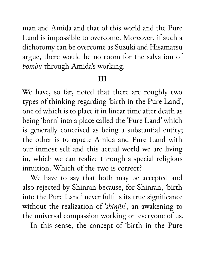man and Amida and that of this world and the Pure Land is impossible to overcome. Moreover, if such a dichotomy can be overcome as Suzuki and Hisamatsu argue, there would be no room for the salvation of *bombu* through Amida's working.

### **III**

We have, so far, noted that there are roughly two types of thinking regarding 'birth in the Pure Land', one of which is to place it in linear time after death as being 'born' into a place called the 'Pure Land' which is generally conceived as being a substantial entity; the other is to equate Amida and Pure Land with our inmost self and this actual world we are living in, which we can realize through a special religious intuition. Which of the two is correct?

We have to say that both may be accepted and also rejected by Shinran because, for Shinran, 'birth into the Pure Land' never fulfills its true significance without the realization of '*shinjin*', an awakening to the universal compassion working on everyone of us.

In this sense, the concept of 'birth in the Pure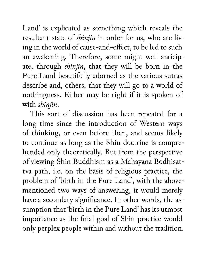Land' is explicated as something which reveals the resultant state of *shinjin* in order for us, who are living in the world of cause-and-effect, to be led to such an awakening. Therefore, some might well anticipate, through *shinjin*, that they will be born in the Pure Land beautifully adorned as the various sutras describe and, others, that they will go to a world of nothingness. Either may be right if it is spoken of with *shinjin*.

This sort of discussion has been repeated for a long time since the introduction of Western ways of thinking, or even before then, and seems likely to continue as long as the Shin doctrine is comprehended only theoretically. But from the perspective of viewing Shin Buddhism as a Mahayana Bodhisattva path, i.e. on the basis of religious practice, the problem of 'birth in the Pure Land', with the abovementioned two ways of answering, it would merely have a secondary significance. In other words, the assumption that 'birth in the Pure Land' has its utmost importance as the final goal of Shin practice would only perplex people within and without the tradition.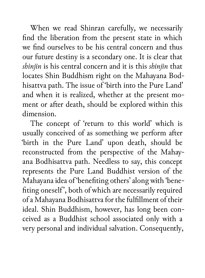When we read Shinran carefully, we necessarily find the liberation from the present state in which we find ourselves to be his central concern and thus our future destiny is a secondary one. It is clear that *shinjin* is his central concern and it is this *shinjin* that locates Shin Buddhism right on the Mahayana Bodhisattva path. The issue of 'birth into the Pure Land' and when it is realized, whether at the present moment or after death, should be explored within this dimension.

The concept of 'return to this world' which is usually conceived of as something we perform after 'birth in the Pure Land' upon death, should be reconstructed from the perspective of the Mahayana Bodhisattva path. Needless to say, this concept represents the Pure Land Buddhist version of the Mahayana idea of 'benefiting others' along with 'benefiting oneself', both of which are necessarily required of a Mahayana Bodhisattva for the fulfillment of their ideal. Shin Buddhism, however, has long been conceived as a Buddhist school associated only with a very personal and individual salvation. Consequently,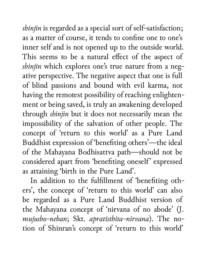*shinjin* is regarded as a special sort of self-satisfaction; as a matter of course, it tends to confine one to one's inner self and is not opened up to the outside world. This seems to be a natural effect of the aspect of shinjin which explores one's true nature from a negative perspective. The negative aspect that one is full of blind passions and bound with evil karma, not having the remotest possibility of reaching enlightenment or being saved, is truly an awakening developed through *shinjin* but it does not necessarily mean the impossibility of the salvation of other people. The concept of 'return to this world' as a Pure Land Buddhist expression of 'benefiting others'—the ideal of the Mahayana Bodhisattva path—should not be considered apart from 'benefiting oneself' expressed as attaining 'birth in the Pure Land'.

In addition to the fulfillment of 'benefiting others', the concept of 'return to this world' can also be regarded as a Pure Land Buddhist version of the Mahayana concept of 'nirvana of no abode' (J. *mujusho-nehan*; Skt. *apratisthita-nirvana*). The notion of Shinran's concept of 'return to this world'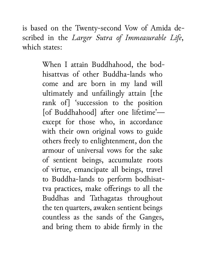is based on the Twenty-second Vow of Amida described in the *Larger Sutra of Immeasurable Life*, which states:

> When I attain Buddhahood, the bodhisattvas of other Buddha-lands who come and are born in my land will ultimately and unfailingly attain [the rank of] 'succession to the position [of Buddhahood] after one lifetime'except for those who, in accordance with their own original vows to guide others freely to enlightenment, don the armour of universal vows for the sake of sentient beings, accumulate roots of virtue, emancipate all beings, travel to Buddha-lands to perform bodhisattva practices, make offerings to all the Buddhas and Tathagatas throughout the ten quarters, awaken sentient beings countless as the sands of the Ganges, and bring them to abide firmly in the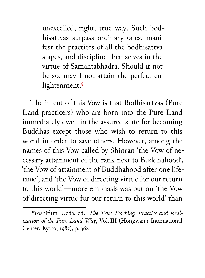unexcelled, right, true way. Such bodhisattvas surpass ordinary ones, manifest the practices of all the bodhisattva stages, and discipline themselves in the virtue of Samantabhadra. Should it not be so, may I not attain the perfect enlightenment.<sup>8</sup>

The intent of this Vow is that Bodhisattvas (Pure Land practicers) who are born into the Pure Land immediately dwell in the assured state for becoming Buddhas except those who wish to return to this world in order to save others. However, among the names of this Vow called by Shinran 'the Vow of necessary attainment of the rank next to Buddhahood', 'the Vow of attainment of Buddhahood after one lifetime', and 'the Vow of directing virtue for our return to this world'—more emphasis was put on 'the Vow of directing virtue for our return to this world' than

⁸Yoshifumi Ueda, ed., *The True Teaching, Practice and Realization of the Pure Land Way*, Vol. III (Hongwanji International Center, Kyoto, 1985), p. 368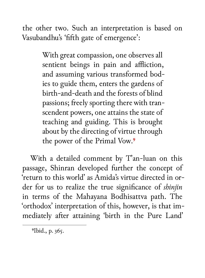the other two. Such an interpretation is based on Vasubandhu's 'fifth gate of emergence':

> With great compassion, one observes all sentient beings in pain and affliction, and assuming various transformed bodies to guide them, enters the gardens of birth-and-death and the forests of blind passions; freely sporting there with transcendent powers, one attains the state of teaching and guiding. This is brought about by the directing of virtue through the power of the Primal Vow.<sup>9</sup>

With a detailed comment by T'an-luan on this passage, Shinran developed further the concept of 'return to this world' as Amida's virtue directed in order for us to realize the true significance of *shinjin* in terms of the Mahayana Bodhisattva path. The 'orthodox' interpretation of this, however, is that immediately after attaining 'birth in the Pure Land'

<sup>&</sup>lt;sup>9</sup>Ibid., p. 365.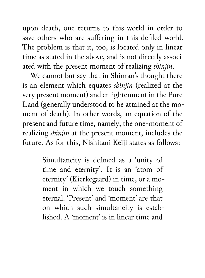upon death, one returns to this world in order to save others who are suffering in this defiled world. The problem is that it, too, is located only in linear time as stated in the above, and is not directly associated with the present moment of realizing *shinjin*.

We cannot but say that in Shinran's thought there is an element which equates *shinjin* (realized at the very present moment) and enlightenment in the Pure Land (generally understood to be attained at the moment of death). In other words, an equation of the present and future time, namely, the one-moment of realizing *shinjin* at the present moment, includes the future. As for this, Nishitani Keiji states as follows:

> Simultaneity is defined as a 'unity of time and eternity'. It is an 'atom of eternity' (Kierkegaard) in time, or a moment in which we touch something eternal. 'Present' and 'moment' are that on which such simultaneity is established. A 'moment' is in linear time and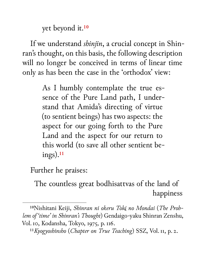yet beyond it.<sup>10</sup>

If we understand *shinjin*, a crucial concept in Shinran's thought, on this basis, the following description will no longer be conceived in terms of linear time only as has been the case in the 'orthodox' view:

> As I humbly contemplate the true essence of the Pure Land path, I understand that Amida's directing of virtue (to sentient beings) has two aspects: the aspect for our going forth to the Pure Land and the aspect for our return to this world (to save all other sentient be $ings).<sup>11</sup>$

Further he praises:

The countless great bodhisattvas of the land of happiness

<sup>&</sup>lt;sup>10</sup>Nishitani Keiji, Shinran ni okeru Tokį no Mondai (The Prob*lem of 'time' in Shinran's Thought*) Gendaigo-yaku Shinran Zenshu, Vol. 10, Kodansha, Tokyo, 1975, p. 116.

<sup>&</sup>lt;sup>11</sup>Kyogyoshinsho (*Chapter on True Teaching*) SSZ, Vol. 11, p. 2.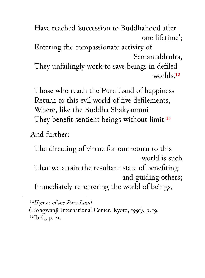Have reached 'succession to Buddhahood after one lifetime'; Entering the compassionate activity of Samantabhadra, They unfailingly work to save beings in defiled worlds.<sup>12</sup>

Those who reach the Pure Land of happiness Return to this evil world of five defilements, Where, like the Buddha Shakyamuni They benefit sentient beings without limit.<sup>13</sup>

## And further:

The directing of virtue for our return to this world is such That we attain the resultant state of benefiting and guiding others; Immediately re-entering the world of beings,

<sup>12</sup>*Hymns of the Pure Land* 

<sup>(</sup>Hongwanji International Center, Kyoto, 1991), p. 19.  $13$ Ibid., p.  $2I$ .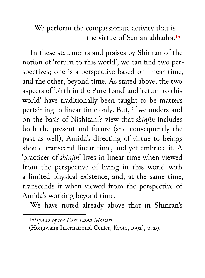We perform the compassionate activity that is the virtue of Samantabhadra.<sup>14</sup>

In these statements and praises by Shinran of the notion of 'return to this world', we can find two perspectives; one is a perspective based on linear time, and the other, beyond time. As stated above, the two aspects of 'birth in the Pure Land' and 'return to this world' have traditionally been taught to be matters pertaining to linear time only. But, if we understand on the basis of Nishitani's view that *shinjin* includes both the present and future (and consequently the past as well), Amida's directing of virtue to beings should transcend linear time, and yet embrace it. A 'practicer of *shinjin*' lives in linear time when viewed from the perspective of living in this world with a limited physical existence, and, at the same time, transcends it when viewed from the perspective of Amida's working beyond time.

We have noted already above that in Shinran's

<sup>&</sup>lt;sup>14</sup>Hymns of the Pure Land Masters (Hongwanji International Center, Kyoto, 1992), p. 29.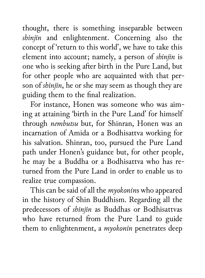thought, there is something inseparable between *shinjin* and enlightenment. Concerning also the concept of 'return to this world', we have to take this element into account; namely, a person of *shinjin* is one who is seeking after birth in the Pure Land, but for other people who are acquainted with that person of *shinjin*, he or she may seem as though they are guiding them to the final realization.

For instance, Honen was someone who was aiming at attaining 'birth in the Pure Land' for himself through *nembutsu* but, for Shinran, Honen was an incarnation of Amida or a Bodhisattva working for his salvation. Shinran, too, pursued the Pure Land path under Honen's guidance but, for other people, he may be a Buddha or a Bodhisattva who has returned from the Pure Land in order to enable us to realize true compassion.

This can be said of all the *myokonin*s who appeared in the history of Shin Buddhism. Regarding all the predecessors of *shinjin* as Buddhas or Bodhisattvas who have returned from the Pure Land to guide them to enlightenment, a *myokonin* penetrates deep